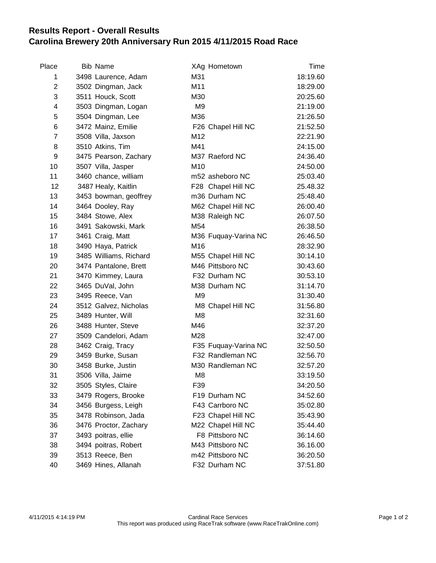## **Results Report - Overall Results Carolina Brewery 20th Anniversary Run 2015 4/11/2015 Road Race**

| Place          | <b>Bib Name</b>        | XAg Hometown         | Time     |
|----------------|------------------------|----------------------|----------|
| 1              | 3498 Laurence, Adam    | M31                  | 18:19.60 |
| $\overline{c}$ | 3502 Dingman, Jack     | M11                  | 18:29.00 |
| 3              | 3511 Houck, Scott      | M30                  | 20:25.60 |
| 4              | 3503 Dingman, Logan    | M <sub>9</sub>       | 21:19.00 |
| 5              | 3504 Dingman, Lee      | M36                  | 21:26.50 |
| 6              | 3472 Mainz, Emilie     | F26 Chapel Hill NC   | 21:52.50 |
| $\overline{7}$ | 3508 Villa, Jaxson     | M12                  | 22:21.90 |
| 8              | 3510 Atkins, Tim       | M41                  | 24:15.00 |
| 9              | 3475 Pearson, Zachary  | M37 Raeford NC       | 24:36.40 |
| 10             | 3507 Villa, Jasper     | M <sub>10</sub>      | 24:50.00 |
| 11             | 3460 chance, william   | m52 asheboro NC      | 25:03.40 |
| 12             | 3487 Healy, Kaitlin    | F28 Chapel Hill NC   | 25.48.32 |
| 13             | 3453 bowman, geoffrey  | m36 Durham NC        | 25:48.40 |
| 14             | 3464 Dooley, Ray       | M62 Chapel Hill NC   | 26:00.40 |
| 15             | 3484 Stowe, Alex       | M38 Raleigh NC       | 26:07.50 |
| 16             | 3491 Sakowski, Mark    | M54                  | 26:38.50 |
| 17             | 3461 Craig, Matt       | M36 Fuquay-Varina NC | 26:46.50 |
| 18             | 3490 Haya, Patrick     | M16                  | 28:32.90 |
| 19             | 3485 Williams, Richard | M55 Chapel Hill NC   | 30:14.10 |
| 20             | 3474 Pantalone, Brett  | M46 Pittsboro NC     | 30:43.60 |
| 21             | 3470 Kimmey, Laura     | F32 Durham NC        | 30:53.10 |
| 22             | 3465 DuVal, John       | M38 Durham NC        | 31:14.70 |
| 23             | 3495 Reece, Van        | M <sub>9</sub>       | 31:30.40 |
| 24             | 3512 Galvez, Nicholas  | M8 Chapel Hill NC    | 31:56.80 |
| 25             | 3489 Hunter, Will      | M <sub>8</sub>       | 32:31.60 |
| 26             | 3488 Hunter, Steve     | M46                  | 32:37.20 |
| 27             | 3509 Candelori, Adam   | M28                  | 32:47.00 |
| 28             | 3462 Craig, Tracy      | F35 Fuquay-Varina NC | 32:50.50 |
| 29             | 3459 Burke, Susan      | F32 Randleman NC     | 32:56.70 |
| 30             | 3458 Burke, Justin     | M30 Randleman NC     | 32:57.20 |
| 31             | 3506 Villa, Jaime      | M <sub>8</sub>       | 33:19.50 |
| 32             | 3505 Styles, Claire    | F39                  | 34:20.50 |
| 33             | 3479 Rogers, Brooke    | F19 Durham NC        | 34:52.60 |
| 34             | 3456 Burgess, Leigh    | F43 Carrboro NC      | 35:02.80 |
| 35             | 3478 Robinson, Jada    | F23 Chapel Hill NC   | 35:43.90 |
| 36             | 3476 Proctor, Zachary  | M22 Chapel Hill NC   | 35:44.40 |
| 37             | 3493 poitras, ellie    | F8 Pittsboro NC      | 36:14.60 |
| 38             | 3494 poitras, Robert   | M43 Pittsboro NC     | 36.16.00 |
| 39             | 3513 Reece, Ben        | m42 Pittsboro NC     | 36:20.50 |
| 40             | 3469 Hines, Allanah    | F32 Durham NC        | 37:51.80 |